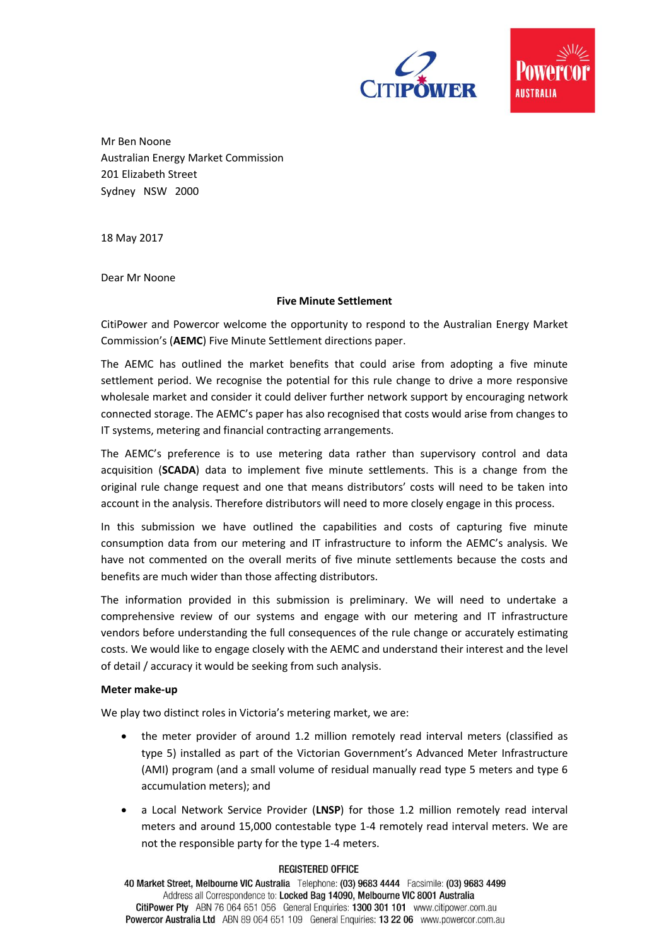



Mr Ben Noone Australian Energy Market Commission 201 Elizabeth Street Sydney NSW 2000

18 May 2017

Dear Mr Noone

### **Five Minute Settlement**

CitiPower and Powercor welcome the opportunity to respond to the Australian Energy Market Commission's (**AEMC**) Five Minute Settlement directions paper.

The AEMC has outlined the market benefits that could arise from adopting a five minute settlement period. We recognise the potential for this rule change to drive a more responsive wholesale market and consider it could deliver further network support by encouraging network connected storage. The AEMC's paper has also recognised that costs would arise from changes to IT systems, metering and financial contracting arrangements.

The AEMC's preference is to use metering data rather than supervisory control and data acquisition (**SCADA**) data to implement five minute settlements. This is a change from the original rule change request and one that means distributors' costs will need to be taken into account in the analysis. Therefore distributors will need to more closely engage in this process.

In this submission we have outlined the capabilities and costs of capturing five minute consumption data from our metering and IT infrastructure to inform the AEMC's analysis. We have not commented on the overall merits of five minute settlements because the costs and benefits are much wider than those affecting distributors.

The information provided in this submission is preliminary. We will need to undertake a comprehensive review of our systems and engage with our metering and IT infrastructure vendors before understanding the full consequences of the rule change or accurately estimating costs. We would like to engage closely with the AEMC and understand their interest and the level of detail / accuracy it would be seeking from such analysis.

# **Meter make-up**

We play two distinct roles in Victoria's metering market, we are:

- the meter provider of around 1.2 million remotely read interval meters (classified as type 5) installed as part of the Victorian Government's Advanced Meter Infrastructure (AMI) program (and a small volume of residual manually read type 5 meters and type 6 accumulation meters); and
- a Local Network Service Provider (**LNSP**) for those 1.2 million remotely read interval meters and around 15,000 contestable type 1-4 remotely read interval meters. We are not the responsible party for the type 1-4 meters.

### **REGISTERED OFFICE**

40 Market Street, Melbourne VIC Australia Telephone: (03) 9683 4444 Facsimile: (03) 9683 4499 Address all Correspondence to: Locked Bag 14090, Melbourne VIC 8001 Australia CitiPower Pty ABN 76 064 651 056 General Enquiries: 1300 301 101 www.citipower.com.au Powercor Australia Ltd ABN 89 064 651 109 General Enquiries: 13 22 06 www.powercor.com.au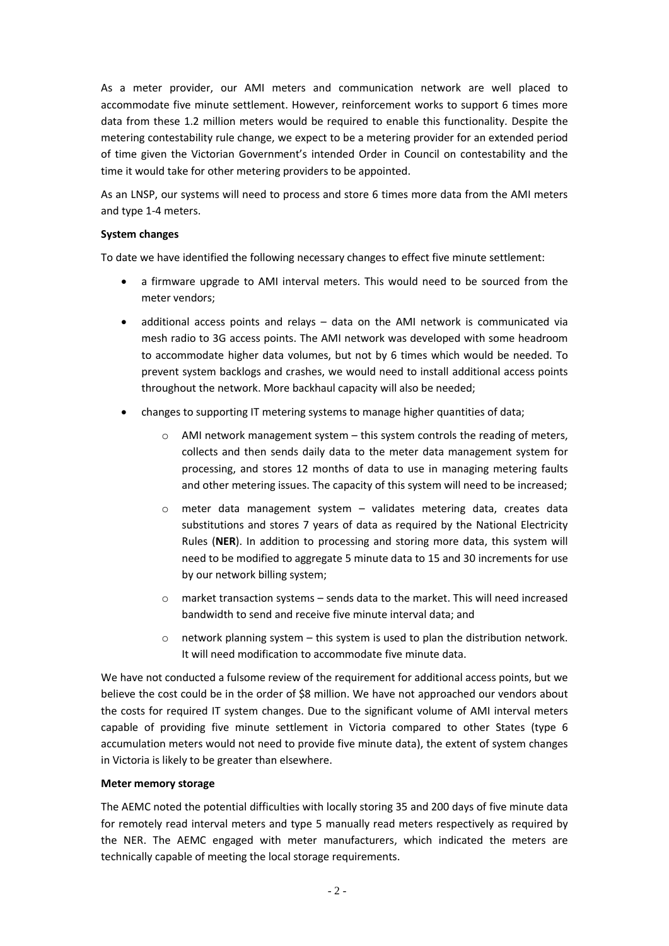As a meter provider, our AMI meters and communication network are well placed to accommodate five minute settlement. However, reinforcement works to support 6 times more data from these 1.2 million meters would be required to enable this functionality. Despite the metering contestability rule change, we expect to be a metering provider for an extended period of time given the Victorian Government's intended Order in Council on contestability and the time it would take for other metering providers to be appointed.

As an LNSP, our systems will need to process and store 6 times more data from the AMI meters and type 1-4 meters.

# **System changes**

To date we have identified the following necessary changes to effect five minute settlement:

- a firmware upgrade to AMI interval meters. This would need to be sourced from the meter vendors;
- additional access points and relays data on the AMI network is communicated via mesh radio to 3G access points. The AMI network was developed with some headroom to accommodate higher data volumes, but not by 6 times which would be needed. To prevent system backlogs and crashes, we would need to install additional access points throughout the network. More backhaul capacity will also be needed;
- changes to supporting IT metering systems to manage higher quantities of data;
	- o AMI network management system this system controls the reading of meters, collects and then sends daily data to the meter data management system for processing, and stores 12 months of data to use in managing metering faults and other metering issues. The capacity of this system will need to be increased;
	- o meter data management system validates metering data, creates data substitutions and stores 7 years of data as required by the National Electricity Rules (**NER**). In addition to processing and storing more data, this system will need to be modified to aggregate 5 minute data to 15 and 30 increments for use by our network billing system;
	- $\circ$  market transaction systems sends data to the market. This will need increased bandwidth to send and receive five minute interval data; and
	- $\circ$  network planning system this system is used to plan the distribution network. It will need modification to accommodate five minute data.

We have not conducted a fulsome review of the requirement for additional access points, but we believe the cost could be in the order of \$8 million. We have not approached our vendors about the costs for required IT system changes. Due to the significant volume of AMI interval meters capable of providing five minute settlement in Victoria compared to other States (type 6 accumulation meters would not need to provide five minute data), the extent of system changes in Victoria is likely to be greater than elsewhere.

# **Meter memory storage**

The AEMC noted the potential difficulties with locally storing 35 and 200 days of five minute data for remotely read interval meters and type 5 manually read meters respectively as required by the NER. The AEMC engaged with meter manufacturers, which indicated the meters are technically capable of meeting the local storage requirements.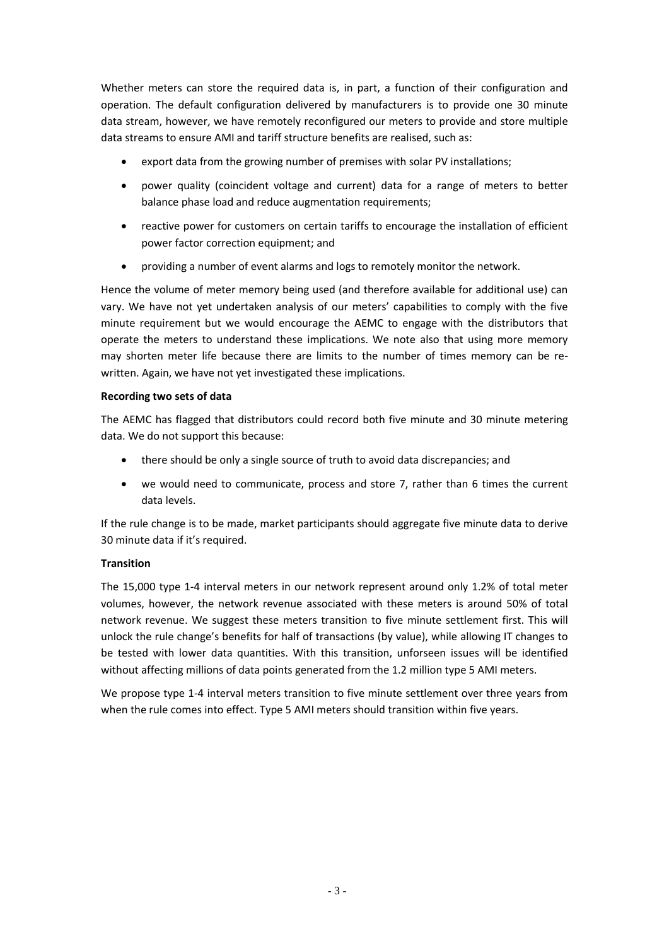Whether meters can store the required data is, in part, a function of their configuration and operation. The default configuration delivered by manufacturers is to provide one 30 minute data stream, however, we have remotely reconfigured our meters to provide and store multiple data streams to ensure AMI and tariff structure benefits are realised, such as:

- export data from the growing number of premises with solar PV installations;
- power quality (coincident voltage and current) data for a range of meters to better balance phase load and reduce augmentation requirements;
- reactive power for customers on certain tariffs to encourage the installation of efficient power factor correction equipment; and
- providing a number of event alarms and logs to remotely monitor the network.

Hence the volume of meter memory being used (and therefore available for additional use) can vary. We have not yet undertaken analysis of our meters' capabilities to comply with the five minute requirement but we would encourage the AEMC to engage with the distributors that operate the meters to understand these implications. We note also that using more memory may shorten meter life because there are limits to the number of times memory can be rewritten. Again, we have not yet investigated these implications.

# **Recording two sets of data**

The AEMC has flagged that distributors could record both five minute and 30 minute metering data. We do not support this because:

- there should be only a single source of truth to avoid data discrepancies; and
- we would need to communicate, process and store 7, rather than 6 times the current data levels.

If the rule change is to be made, market participants should aggregate five minute data to derive 30 minute data if it's required.

# **Transition**

The 15,000 type 1-4 interval meters in our network represent around only 1.2% of total meter volumes, however, the network revenue associated with these meters is around 50% of total network revenue. We suggest these meters transition to five minute settlement first. This will unlock the rule change's benefits for half of transactions (by value), while allowing IT changes to be tested with lower data quantities. With this transition, unforseen issues will be identified without affecting millions of data points generated from the 1.2 million type 5 AMI meters.

We propose type 1-4 interval meters transition to five minute settlement over three years from when the rule comes into effect. Type 5 AMI meters should transition within five years.